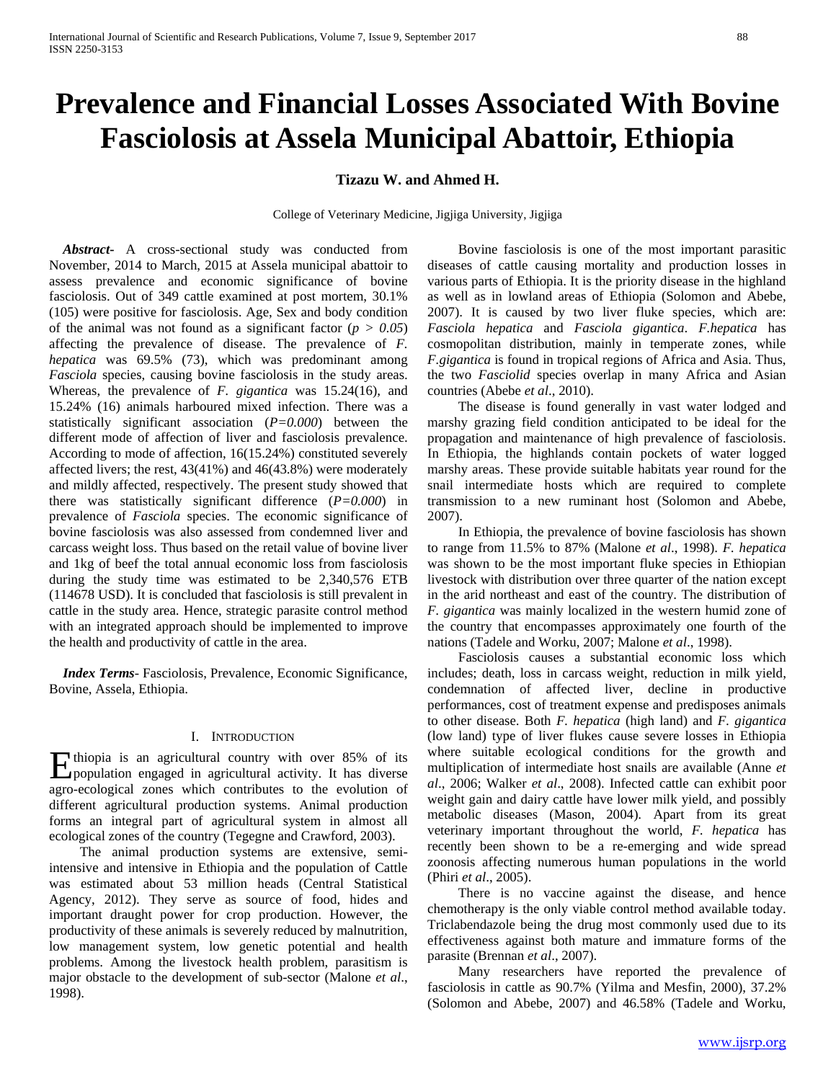# **Prevalence and Financial Losses Associated With Bovine Fasciolosis at Assela Municipal Abattoir, Ethiopia**

## **Tizazu W. and Ahmed H.**

College of Veterinary Medicine, Jigjiga University, Jigjiga

 *Abstract***-** A cross-sectional study was conducted from November, 2014 to March, 2015 at Assela municipal abattoir to assess prevalence and economic significance of bovine fasciolosis. Out of 349 cattle examined at post mortem, 30.1% (105) were positive for fasciolosis. Age, Sex and body condition of the animal was not found as a significant factor  $(p > 0.05)$ affecting the prevalence of disease. The prevalence of *F. hepatica* was 69.5% (73), which was predominant among *Fasciola* species, causing bovine fasciolosis in the study areas. Whereas, the prevalence of *F. gigantica* was 15.24(16), and 15.24% (16) animals harboured mixed infection. There was a statistically significant association (*P=0.000*) between the different mode of affection of liver and fasciolosis prevalence. According to mode of affection, 16(15.24%) constituted severely affected livers; the rest, 43(41%) and 46(43.8%) were moderately and mildly affected, respectively. The present study showed that there was statistically significant difference (*P=0.000*) in prevalence of *Fasciola* species. The economic significance of bovine fasciolosis was also assessed from condemned liver and carcass weight loss. Thus based on the retail value of bovine liver and 1kg of beef the total annual economic loss from fasciolosis during the study time was estimated to be 2,340,576 ETB (114678 USD). It is concluded that fasciolosis is still prevalent in cattle in the study area. Hence, strategic parasite control method with an integrated approach should be implemented to improve the health and productivity of cattle in the area.

 *Index Terms*- Fasciolosis, Prevalence, Economic Significance, Bovine, Assela, Ethiopia.

## I. INTRODUCTION

thiopia is an agricultural country with over 85% of its Ethiopia is an agricultural country with over 85% of its<br>population engaged in agricultural activity. It has diverse agro-ecological zones which contributes to the evolution of different agricultural production systems. Animal production forms an integral part of agricultural system in almost all ecological zones of the country (Tegegne and Crawford, 2003).

 The animal production systems are extensive, semiintensive and intensive in Ethiopia and the population of Cattle was estimated about 53 million heads (Central Statistical Agency, 2012). They serve as source of food, hides and important draught power for crop production. However, the productivity of these animals is severely reduced by malnutrition, low management system, low genetic potential and health problems. Among the livestock health problem, parasitism is major obstacle to the development of sub-sector (Malone *et al*., 1998).

 Bovine fasciolosis is one of the most important parasitic diseases of cattle causing mortality and production losses in various parts of Ethiopia. It is the priority disease in the highland as well as in lowland areas of Ethiopia (Solomon and Abebe, 2007). It is caused by two liver fluke species, which are: *Fasciola hepatica* and *Fasciola gigantica*. *F.hepatica* has cosmopolitan distribution, mainly in temperate zones, while *F.gigantica* is found in tropical regions of Africa and Asia. Thus, the two *Fasciolid* species overlap in many Africa and Asian countries (Abebe *et al*., 2010).

 The disease is found generally in vast water lodged and marshy grazing field condition anticipated to be ideal for the propagation and maintenance of high prevalence of fasciolosis. In Ethiopia, the highlands contain pockets of water logged marshy areas. These provide suitable habitats year round for the snail intermediate hosts which are required to complete transmission to a new ruminant host (Solomon and Abebe, 2007).

 In Ethiopia, the prevalence of bovine fasciolosis has shown to range from 11.5% to 87% (Malone *et al*., 1998). *F. hepatica*  was shown to be the most important fluke species in Ethiopian livestock with distribution over three quarter of the nation except in the arid northeast and east of the country. The distribution of *F. gigantica* was mainly localized in the western humid zone of the country that encompasses approximately one fourth of the nations (Tadele and Worku, 2007; Malone *et al*., 1998).

 Fasciolosis causes a substantial economic loss which includes; death, loss in carcass weight, reduction in milk yield, condemnation of affected liver, decline in productive performances, cost of treatment expense and predisposes animals to other disease. Both *F. hepatica* (high land) and *F. gigantica* (low land) type of liver flukes cause severe losses in Ethiopia where suitable ecological conditions for the growth and multiplication of intermediate host snails are available (Anne *et al*., 2006; Walker *et al*., 2008). Infected cattle can exhibit poor weight gain and dairy cattle have lower milk yield, and possibly metabolic diseases (Mason, 2004). Apart from its great veterinary important throughout the world, *F. hepatica* has recently been shown to be a re-emerging and wide spread zoonosis affecting numerous human populations in the world (Phiri *et al*., 2005).

 There is no vaccine against the disease, and hence chemotherapy is the only viable control method available today. Triclabendazole being the drug most commonly used due to its effectiveness against both mature and immature forms of the parasite (Brennan *et al*., 2007).

 Many researchers have reported the prevalence of fasciolosis in cattle as 90.7% (Yilma and Mesfin, 2000), 37.2% (Solomon and Abebe, 2007) and 46.58% (Tadele and Worku,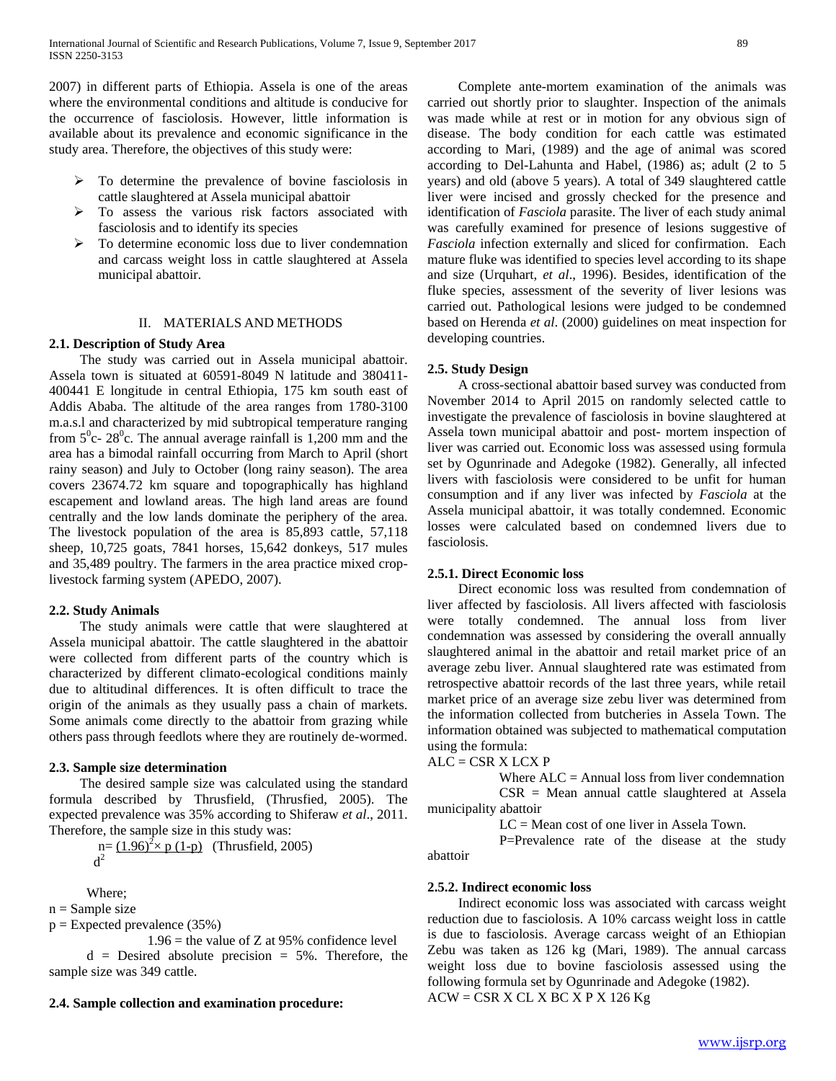2007) in different parts of Ethiopia. Assela is one of the areas where the environmental conditions and altitude is conducive for the occurrence of fasciolosis. However, little information is available about its prevalence and economic significance in the study area. Therefore, the objectives of this study were:

- $\triangleright$  To determine the prevalence of bovine fasciolosis in cattle slaughtered at Assela municipal abattoir
- To assess the various risk factors associated with fasciolosis and to identify its species
- $\triangleright$  To determine economic loss due to liver condemnation and carcass weight loss in cattle slaughtered at Assela municipal abattoir.

### II. MATERIALS AND METHODS

### **2.1. Description of Study Area**

 The study was carried out in Assela municipal abattoir. Assela town is situated at 60591-8049 N latitude and 380411- 400441 E longitude in central Ethiopia, 175 km south east of Addis Ababa. The altitude of the area ranges from 1780-3100 m.a.s.l and characterized by mid subtropical temperature ranging from  $5^{\circ}$ c- 28<sup>°</sup>c. The annual average rainfall is 1,200 mm and the area has a bimodal rainfall occurring from March to April (short rainy season) and July to October (long rainy season). The area covers 23674.72 km square and topographically has highland escapement and lowland areas. The high land areas are found centrally and the low lands dominate the periphery of the area. The livestock population of the area is 85,893 cattle, 57,118 sheep, 10,725 goats, 7841 horses, 15,642 donkeys, 517 mules and 35,489 poultry. The farmers in the area practice mixed croplivestock farming system (APEDO, 2007).

#### **2.2. Study Animals**

 The study animals were cattle that were slaughtered at Assela municipal abattoir. The cattle slaughtered in the abattoir were collected from different parts of the country which is characterized by different climato-ecological conditions mainly due to altitudinal differences. It is often difficult to trace the origin of the animals as they usually pass a chain of markets. Some animals come directly to the abattoir from grazing while others pass through feedlots where they are routinely de-wormed.

### **2.3. Sample size determination**

 The desired sample size was calculated using the standard formula described by Thrusfield, (Thrusfied, 2005). The expected prevalence was 35% according to Shiferaw *et al*., 2011. Therefore, the sample size in this study was:

 $n = (1.96)^2 \times p(1-p)$  (Thrusfield, 2005)  $d<sup>2</sup>$ 

Where;

 $n =$  Sample size

 $p =$  Expected prevalence (35%)

 $1.96$  = the value of Z at 95% confidence level  $d =$  Desired absolute precision = 5%. Therefore, the sample size was 349 cattle.

#### **2.4. Sample collection and examination procedure:**

 Complete ante-mortem examination of the animals was carried out shortly prior to slaughter. Inspection of the animals was made while at rest or in motion for any obvious sign of disease. The body condition for each cattle was estimated according to Mari, (1989) and the age of animal was scored according to Del-Lahunta and Habel, (1986) as; adult (2 to 5 years) and old (above 5 years). A total of 349 slaughtered cattle liver were incised and grossly checked for the presence and identification of *Fasciola* parasite. The liver of each study animal was carefully examined for presence of lesions suggestive of *Fasciola* infection externally and sliced for confirmation. Each mature fluke was identified to species level according to its shape and size (Urquhart, *et al*., 1996). Besides, identification of the fluke species, assessment of the severity of liver lesions was carried out. Pathological lesions were judged to be condemned based on Herenda *et al*. (2000) guidelines on meat inspection for developing countries.

### **2.5. Study Design**

 A cross-sectional abattoir based survey was conducted from November 2014 to April 2015 on randomly selected cattle to investigate the prevalence of fasciolosis in bovine slaughtered at Assela town municipal abattoir and post- mortem inspection of liver was carried out. Economic loss was assessed using formula set by Ogunrinade and Adegoke (1982). Generally, all infected livers with fasciolosis were considered to be unfit for human consumption and if any liver was infected by *Fasciola* at the Assela municipal abattoir, it was totally condemned. Economic losses were calculated based on condemned livers due to fasciolosis.

#### **2.5.1. Direct Economic loss**

 Direct economic loss was resulted from condemnation of liver affected by fasciolosis. All livers affected with fasciolosis were totally condemned. The annual loss from liver condemnation was assessed by considering the overall annually slaughtered animal in the abattoir and retail market price of an average zebu liver. Annual slaughtered rate was estimated from retrospective abattoir records of the last three years, while retail market price of an average size zebu liver was determined from the information collected from butcheries in Assela Town. The information obtained was subjected to mathematical computation using the formula:

ALC = CSR X LCX P

abattoir

Where  $ALC =$  Annual loss from liver condemnation

 CSR = Mean annual cattle slaughtered at Assela municipality abattoir

LC = Mean cost of one liver in Assela Town.

P=Prevalence rate of the disease at the study

#### **2.5.2. Indirect economic loss**

 Indirect economic loss was associated with carcass weight reduction due to fasciolosis. A 10% carcass weight loss in cattle is due to fasciolosis. Average carcass weight of an Ethiopian Zebu was taken as 126 kg (Mari, 1989). The annual carcass weight loss due to bovine fasciolosis assessed using the following formula set by Ogunrinade and Adegoke (1982).  $ACW = CSR X CL X BC X P X 126 Kg$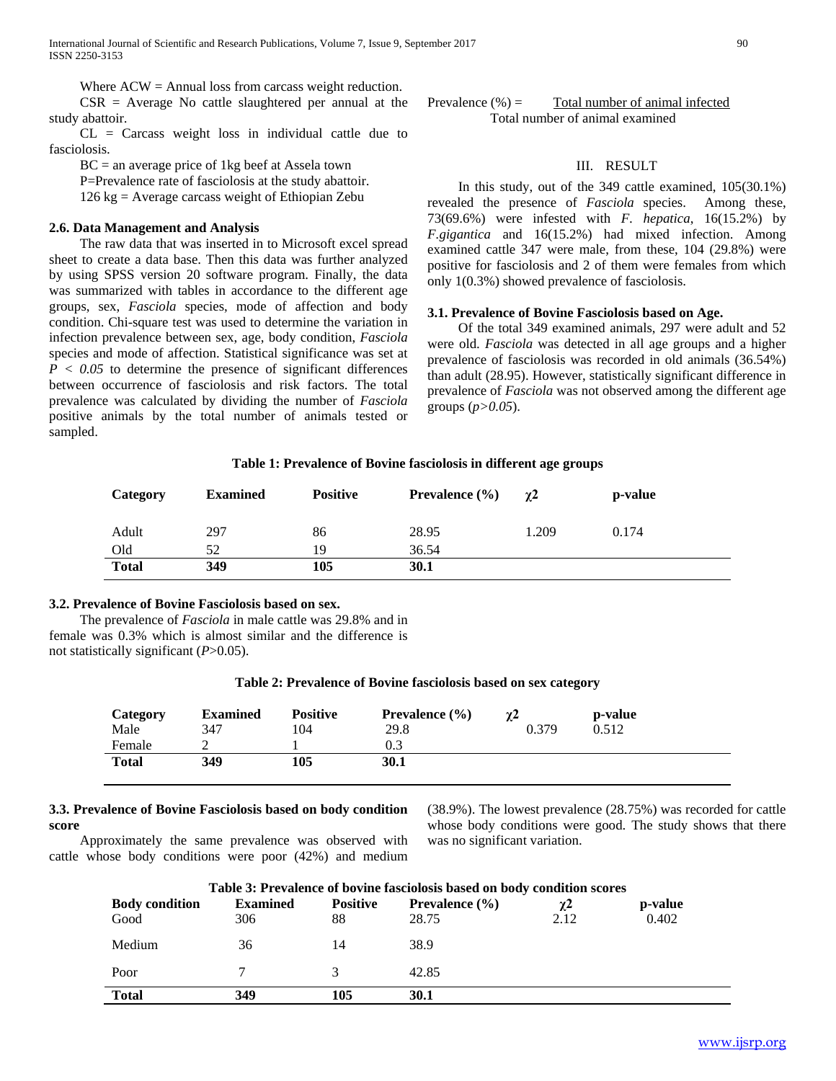International Journal of Scientific and Research Publications, Volume 7, Issue 9, September 2017 90 ISSN 2250-3153

Where  $ACW =$  Annual loss from carcass weight reduction.  $CSR = Average No cattle slaughtered per annual at the$ study abattoir.

 CL = Carcass weight loss in individual cattle due to fasciolosis.

 $BC = an average price of 1kg beef at Assela town$ 

P=Prevalence rate of fasciolosis at the study abattoir.

126 kg = Average carcass weight of Ethiopian Zebu

## **2.6. Data Management and Analysis**

 The raw data that was inserted in to Microsoft excel spread sheet to create a data base. Then this data was further analyzed by using SPSS version 20 software program. Finally, the data was summarized with tables in accordance to the different age groups, sex, *Fasciola* species, mode of affection and body condition. Chi-square test was used to determine the variation in infection prevalence between sex, age, body condition, *Fasciola* species and mode of affection. Statistical significance was set at  $P < 0.05$  to determine the presence of significant differences between occurrence of fasciolosis and risk factors. The total prevalence was calculated by dividing the number of *Fasciola* positive animals by the total number of animals tested or sampled.

## III. RESULT

 In this study, out of the 349 cattle examined, 105(30.1%) revealed the presence of *Fasciola* species. Among these, 73(69.6%) were infested with *F. hepatica*, 16(15.2%) by *F.gigantica* and 16(15.2%) had mixed infection. Among examined cattle 347 were male, from these, 104 (29.8%) were positive for fasciolosis and 2 of them were females from which only 1(0.3%) showed prevalence of fasciolosis.

#### **3.1. Prevalence of Bovine Fasciolosis based on Age.**

 Of the total 349 examined animals, 297 were adult and 52 were old. *Fasciola* was detected in all age groups and a higher prevalence of fasciolosis was recorded in old animals (36.54%) than adult (28.95). However, statistically significant difference in prevalence of *Fasciola* was not observed among the different age groups (*p>0.05*).

#### **Table 1: Prevalence of Bovine fasciolosis in different age groups**

| Category     | <b>Examined</b> | <b>Positive</b> | <b>Prevalence</b> $(\% )$ | $\gamma$ 2 | p-value |
|--------------|-----------------|-----------------|---------------------------|------------|---------|
| Adult        | 297             | 86              | 28.95                     | 1.209      | 0.174   |
| Old          | 52              | 19              | 36.54                     |            |         |
| <b>Total</b> | 349             | 105             | 30.1                      |            |         |

#### **3.2. Prevalence of Bovine Fasciolosis based on sex.**

 The prevalence of *Fasciola* in male cattle was 29.8% and in female was 0.3% which is almost similar and the difference is not statistically significant (*P*>0.05).

### **Table 2: Prevalence of Bovine fasciolosis based on sex category**

| Category<br>Male | <b>Examined</b><br>347 | <b>Positive</b><br>104 | <b>Prevalence</b> $(\% )$<br>29.8 | $\gamma$ 2<br>0.379 | p-value<br>0.512 |
|------------------|------------------------|------------------------|-----------------------------------|---------------------|------------------|
| Female           |                        |                        | 0.3                               |                     |                  |
| <b>Total</b>     | 349                    | 105                    | 30.1                              |                     |                  |

## **3.3. Prevalence of Bovine Fasciolosis based on body condition score**

 Approximately the same prevalence was observed with cattle whose body conditions were poor (42%) and medium

(38.9%). The lowest prevalence (28.75%) was recorded for cattle whose body conditions were good. The study shows that there was no significant variation.

| Table 3: Prevalence of bovine fasciolosis based on body condition scores |                 |                 |                           |      |         |  |  |
|--------------------------------------------------------------------------|-----------------|-----------------|---------------------------|------|---------|--|--|
| <b>Body condition</b>                                                    | <b>Examined</b> | <b>Positive</b> | <b>Prevalence</b> $(\% )$ | γ2   | p-value |  |  |
| Good                                                                     | 306             | 88              | 28.75                     | 2.12 | 0.402   |  |  |
| Medium                                                                   | 36              | 14              | 38.9                      |      |         |  |  |
| Poor                                                                     |                 |                 | 42.85                     |      |         |  |  |
| <b>Total</b>                                                             | 349             | 105             | 30.1                      |      |         |  |  |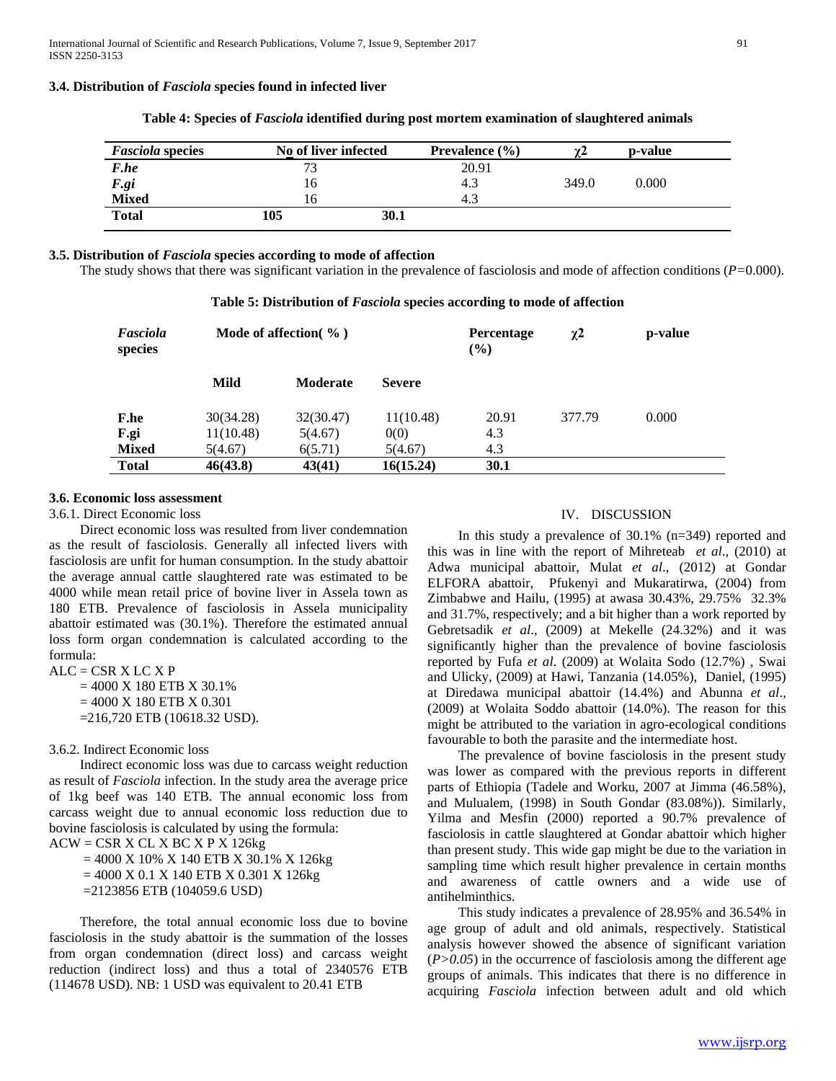#### **3.4. Distribution of** *Fasciola* **species found in infected liver**

| <b>Fasciola species</b> | No of liver infected | Prevalence $(\% )$ |       | p-value |  |
|-------------------------|----------------------|--------------------|-------|---------|--|
| F.he                    | 73                   | 20.91              |       |         |  |
| F.gi<br>Mixed           | 16                   | 4.3                | 349.0 | 0.000   |  |
|                         | 16                   | 4.3                |       |         |  |
| <b>Total</b>            | 105                  | 30.1               |       |         |  |

**Table 4: Species of** *Fasciola* **identified during post mortem examination of slaughtered animals**

### **3.5. Distribution of** *Fasciola* **species according to mode of affection**

The study shows that there was significant variation in the prevalence of fasciolosis and mode of affection conditions (*P=*0.000).

| Fasciola<br>species | Mode of affection $\%$ ) |                 |               | <b>Percentage</b><br>$($ %) | $\chi$ <sup>2</sup> | p-value |
|---------------------|--------------------------|-----------------|---------------|-----------------------------|---------------------|---------|
|                     | Mild                     | <b>Moderate</b> | <b>Severe</b> |                             |                     |         |
| <b>F.he</b>         | 30(34.28)                | 32(30.47)       | 11(10.48)     | 20.91                       | 377.79              | 0.000   |
| F.gi                | 11(10.48)                | 5(4.67)         | 0(0)          | 4.3                         |                     |         |
| <b>Mixed</b>        | 5(4.67)                  | 6(5.71)         | 5(4.67)       | 4.3                         |                     |         |
| <b>Total</b>        | 46(43.8)                 | 43(41)          | 16(15.24)     | 30.1                        |                     |         |

## **Table 5: Distribution of** *Fasciola* **species according to mode of affection**

#### **3.6. Economic loss assessment**

### 3.6.1. Direct Economic loss

 Direct economic loss was resulted from liver condemnation as the result of fasciolosis. Generally all infected livers with fasciolosis are unfit for human consumption. In the study abattoir the average annual cattle slaughtered rate was estimated to be 4000 while mean retail price of bovine liver in Assela town as 180 ETB. Prevalence of fasciolosis in Assela municipality abattoir estimated was (30.1%). Therefore the estimated annual loss form organ condemnation is calculated according to the formula:

 $ALC = CSR X LC X P$  $= 4000$  X 180 ETB X 30.1%  $= 4000$  X 180 ETB X 0.301 =216,720 ETB (10618.32 USD).

#### 3.6.2. Indirect Economic loss

 Indirect economic loss was due to carcass weight reduction as result of *Fasciola* infection. In the study area the average price of 1kg beef was 140 ETB. The annual economic loss from carcass weight due to annual economic loss reduction due to bovine fasciolosis is calculated by using the formula:

 $ACW = CSR X CL X BC X P X 126kg$ 

 $= 4000$  X 10% X 140 ETB X 30.1% X 126 kg  $= 4000$  X 0.1 X 140 ETB X 0.301 X 126 kg =2123856 ETB (104059.6 USD)

 Therefore, the total annual economic loss due to bovine fasciolosis in the study abattoir is the summation of the losses from organ condemnation (direct loss) and carcass weight reduction (indirect loss) and thus a total of 2340576 ETB (114678 USD). NB: 1 USD was equivalent to 20.41 ETB

## IV. DISCUSSION

 In this study a prevalence of 30.1% (n=349) reported and this was in line with the report of Mihreteab *et al*., (2010) at Adwa municipal abattoir, Mulat *et al*., (2012) at Gondar ELFORA abattoir, Pfukenyi and Mukaratirwa, (2004) from Zimbabwe and Hailu, (1995) at awasa 30.43%, 29.75% 32.3% and 31.7%, respectively; and a bit higher than a work reported by Gebretsadik *et al*., (2009) at Mekelle (24.32%) and it was significantly higher than the prevalence of bovine fasciolosis reported by Fufa *et al*. (2009) at Wolaita Sodo (12.7%) , Swai and Ulicky, (2009) at Hawi, Tanzania (14.05%), Daniel, (1995) at Diredawa municipal abattoir (14.4%) and Abunna *et al*., (2009) at Wolaita Soddo abattoir (14.0%). The reason for this might be attributed to the variation in agro-ecological conditions favourable to both the parasite and the intermediate host.

 The prevalence of bovine fasciolosis in the present study was lower as compared with the previous reports in different parts of Ethiopia (Tadele and Worku, 2007 at Jimma (46.58%), and Mulualem, (1998) in South Gondar (83.08%)). Similarly, Yilma and Mesfin (2000) reported a 90.7% prevalence of fasciolosis in cattle slaughtered at Gondar abattoir which higher than present study. This wide gap might be due to the variation in sampling time which result higher prevalence in certain months and awareness of cattle owners and a wide use of antihelminthics.

 This study indicates a prevalence of 28.95% and 36.54% in age group of adult and old animals, respectively. Statistical analysis however showed the absence of significant variation  $(P>0.05)$  in the occurrence of fasciolosis among the different age groups of animals. This indicates that there is no difference in acquiring *Fasciola* infection between adult and old which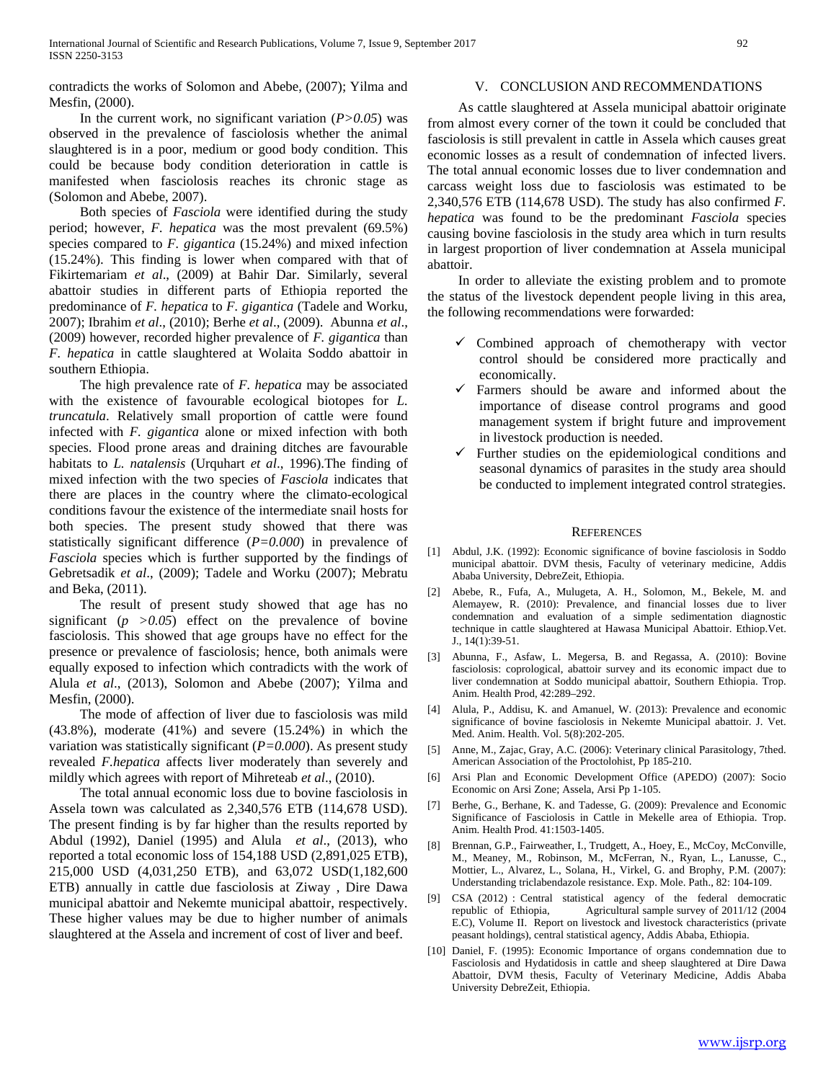contradicts the works of Solomon and Abebe, (2007); Yilma and Mesfin, (2000).

## In the current work, no significant variation (*P>0.05*) was observed in the prevalence of fasciolosis whether the animal slaughtered is in a poor, medium or good body condition. This could be because body condition deterioration in cattle is manifested when fasciolosis reaches its chronic stage as (Solomon and Abebe, 2007).

 Both species of *Fasciola* were identified during the study period; however, *F. hepatica* was the most prevalent (69.5%) species compared to *F. gigantica* (15.24%) and mixed infection (15.24%). This finding is lower when compared with that of Fikirtemariam *et al*., (2009) at Bahir Dar. Similarly, several abattoir studies in different parts of Ethiopia reported the predominance of *F. hepatica* to *F. gigantica* (Tadele and Worku, 2007); Ibrahim *et al*., (2010); Berhe *et al*., (2009). Abunna *et al*., (2009) however, recorded higher prevalence of *F. gigantica* than *F. hepatica* in cattle slaughtered at Wolaita Soddo abattoir in southern Ethiopia.

 The high prevalence rate of *F. hepatica* may be associated with the existence of favourable ecological biotopes for *L. truncatula*. Relatively small proportion of cattle were found infected with *F. gigantica* alone or mixed infection with both species. Flood prone areas and draining ditches are favourable habitats to *L. natalensis* (Urquhart *et al*., 1996).The finding of mixed infection with the two species of *Fasciola* indicates that there are places in the country where the climato-ecological conditions favour the existence of the intermediate snail hosts for both species. The present study showed that there was statistically significant difference (*P=0.000*) in prevalence of *Fasciola* species which is further supported by the findings of Gebretsadik *et al*., (2009); Tadele and Worku (2007); Mebratu and Beka, (2011).

 The result of present study showed that age has no significant  $(p > 0.05)$  effect on the prevalence of bovine fasciolosis. This showed that age groups have no effect for the presence or prevalence of fasciolosis; hence, both animals were equally exposed to infection which contradicts with the work of Alula *et al*., (2013), Solomon and Abebe (2007); Yilma and Mesfin, (2000).

 The mode of affection of liver due to fasciolosis was mild (43.8%), moderate (41%) and severe (15.24%) in which the variation was statistically significant (*P=0.000*). As present study revealed *F.hepatica* affects liver moderately than severely and mildly which agrees with report of Mihreteab *et al*., (2010).

 The total annual economic loss due to bovine fasciolosis in Assela town was calculated as 2,340,576 ETB (114,678 USD). The present finding is by far higher than the results reported by Abdul (1992), Daniel (1995) and Alula *et al*., (2013), who reported a total economic loss of 154,188 USD (2,891,025 ETB), 215,000 USD (4,031,250 ETB), and 63,072 USD(1,182,600 ETB) annually in cattle due fasciolosis at Ziway , Dire Dawa municipal abattoir and Nekemte municipal abattoir, respectively. These higher values may be due to higher number of animals slaughtered at the Assela and increment of cost of liver and beef.

## V. CONCLUSION AND RECOMMENDATIONS

 As cattle slaughtered at Assela municipal abattoir originate from almost every corner of the town it could be concluded that fasciolosis is still prevalent in cattle in Assela which causes great economic losses as a result of condemnation of infected livers. The total annual economic losses due to liver condemnation and carcass weight loss due to fasciolosis was estimated to be 2,340,576 ETB (114,678 USD). The study has also confirmed *F. hepatica* was found to be the predominant *Fasciola* species causing bovine fasciolosis in the study area which in turn results in largest proportion of liver condemnation at Assela municipal abattoir.

 In order to alleviate the existing problem and to promote the status of the livestock dependent people living in this area, the following recommendations were forwarded:

- Combined approach of chemotherapy with vector control should be considered more practically and economically.
- $\checkmark$  Farmers should be aware and informed about the importance of disease control programs and good management system if bright future and improvement in livestock production is needed.
- Further studies on the epidemiological conditions and seasonal dynamics of parasites in the study area should be conducted to implement integrated control strategies.

#### **REFERENCES**

- [1] Abdul, J.K. (1992): Economic significance of bovine fasciolosis in Soddo municipal abattoir. DVM thesis, Faculty of veterinary medicine, Addis Ababa University, DebreZeit, Ethiopia.
- [2] Abebe, R., Fufa, A., Mulugeta, A. H., Solomon, M., Bekele, M. and Alemayew, R. (2010): Prevalence, and financial losses due to liver condemnation and evaluation of a simple sedimentation diagnostic technique in cattle slaughtered at Hawasa Municipal Abattoir. Ethiop.Vet. J., 14(1):39-51.
- [3] Abunna, F., Asfaw, L. Megersa, B. and Regassa, A. (2010): Bovine fasciolosis: coprological, abattoir survey and its economic impact due to liver condemnation at Soddo municipal abattoir, Southern Ethiopia. Trop. Anim. Health Prod, 42:289–292.
- [4] Alula, P., Addisu, K. and Amanuel, W. (2013): Prevalence and economic significance of bovine fasciolosis in Nekemte Municipal abattoir. J. Vet. Med. Anim. Health. Vol. 5(8):202-205.
- [5] Anne, M., Zajac, Gray, A.C. (2006): Veterinary clinical Parasitology, 7thed. American Association of the Proctolohist, Pp 185-210.
- [6] Arsi Plan and Economic Development Office (APEDO) (2007): Socio Economic on Arsi Zone; Assela, Arsi Pp 1-105.
- [7] Berhe, G., Berhane, K. and Tadesse, G. (2009): Prevalence and Economic Significance of Fasciolosis in Cattle in Mekelle area of Ethiopia. Trop. Anim. Health Prod. 41:1503-1405.
- Brennan, G.P., Fairweather, I., Trudgett, A., Hoey, E., McCoy, McConville, M., Meaney, M., Robinson, M., McFerran, N., Ryan, L., Lanusse, C., Mottier, L., Alvarez, L., Solana, H., Virkel, G. and Brophy, P.M. (2007): Understanding triclabendazole resistance. Exp. Mole. Path., 82: 104-109.
- [9] CSA (2012) : Central statistical agency of the federal democratic republic of Ethiopia, Agricultural sample survey of 2011/12 (2004 E.C), Volume II. Report on livestock and livestock characteristics (private peasant holdings), central statistical agency, Addis Ababa, Ethiopia.
- [10] Daniel, F. (1995): Economic Importance of organs condemnation due to Fasciolosis and Hydatidosis in cattle and sheep slaughtered at Dire Dawa Abattoir, DVM thesis, Faculty of Veterinary Medicine, Addis Ababa University DebreZeit, Ethiopia.